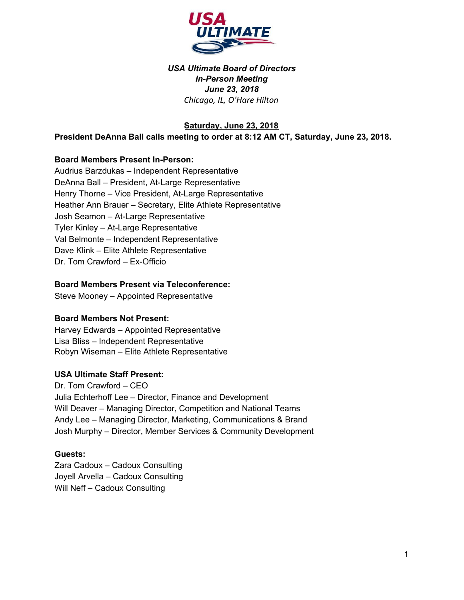

## *USA Ultimate Board of Directors In-Person Meeting June 23, 2018 Chicago, IL, O'Hare Hilton*

**Saturday, June 23, 2018**

#### **President DeAnna Ball calls meeting to order at 8:12 AM CT, Saturday, June 23, 2018.**

#### **Board Members Present In-Person:**

Audrius Barzdukas – Independent Representative DeAnna Ball – President, At-Large Representative Henry Thorne – Vice President, At-Large Representative Heather Ann Brauer – Secretary, Elite Athlete Representative Josh Seamon – At-Large Representative Tyler Kinley – At-Large Representative Val Belmonte – Independent Representative Dave Klink – Elite Athlete Representative Dr. Tom Crawford – Ex-Officio

#### **Board Members Present via Teleconference:**

Steve Mooney – Appointed Representative

#### **Board Members Not Present:**

Harvey Edwards – Appointed Representative Lisa Bliss – Independent Representative Robyn Wiseman – Elite Athlete Representative

#### **USA Ultimate Staff Present:**

Dr. Tom Crawford – CEO Julia Echterhoff Lee – Director, Finance and Development Will Deaver – Managing Director, Competition and National Teams Andy Lee – Managing Director, Marketing, Communications & Brand Josh Murphy – Director, Member Services & Community Development

#### **Guests:**

Zara Cadoux – Cadoux Consulting Joyell Arvella – Cadoux Consulting Will Neff – Cadoux Consulting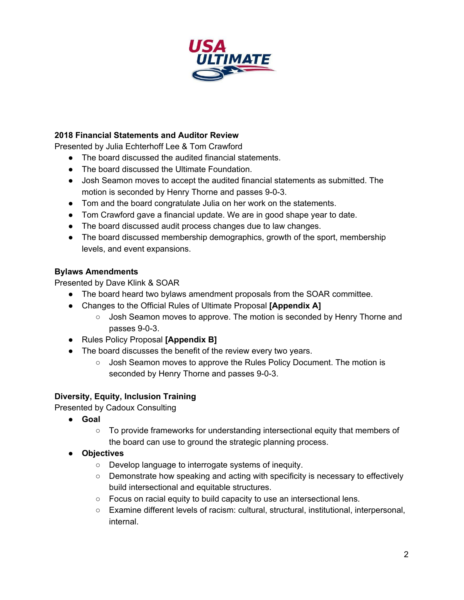

## **2018 Financial Statements and Auditor Review**

Presented by Julia Echterhoff Lee & Tom Crawford

- The board discussed the audited financial statements.
- The board discussed the Ultimate Foundation.
- Josh Seamon moves to accept the audited financial statements as submitted. The motion is seconded by Henry Thorne and passes 9-0-3.
- Tom and the board congratulate Julia on her work on the statements.
- Tom Crawford gave a financial update. We are in good shape year to date.
- The board discussed audit process changes due to law changes.
- The board discussed membership demographics, growth of the sport, membership levels, and event expansions.

#### **Bylaws Amendments**

Presented by Dave Klink & SOAR

- The board heard two bylaws amendment proposals from the SOAR committee.
- Changes to the Official Rules of Ultimate Proposal **[Appendix A]**
	- Josh Seamon moves to approve. The motion is seconded by Henry Thorne and passes 9-0-3.
- Rules Policy Proposal **[Appendix B]**
- The board discusses the benefit of the review every two years.
	- Josh Seamon moves to approve the Rules Policy Document. The motion is seconded by Henry Thorne and passes 9-0-3.

# **Diversity, Equity, Inclusion Training**

Presented by Cadoux Consulting

- **Goal**
	- To provide frameworks for understanding intersectional equity that members of the board can use to ground the strategic planning process.
- **Objectives**
	- Develop language to interrogate systems of inequity.
	- Demonstrate how speaking and acting with specificity is necessary to effectively build intersectional and equitable structures.
	- Focus on racial equity to build capacity to use an intersectional lens.
	- Examine different levels of racism: cultural, structural, institutional, interpersonal, internal.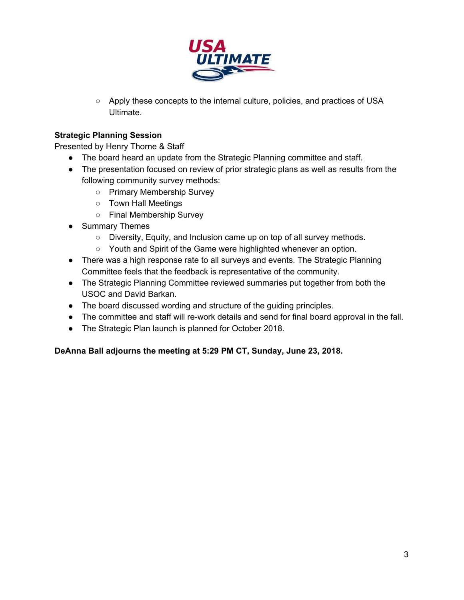

○ Apply these concepts to the internal culture, policies, and practices of USA Ultimate.

# **Strategic Planning Session**

Presented by Henry Thorne & Staff

- The board heard an update from the Strategic Planning committee and staff.
- The presentation focused on review of prior strategic plans as well as results from the following community survey methods:
	- Primary Membership Survey
	- Town Hall Meetings
	- Final Membership Survey
- Summary Themes
	- Diversity, Equity, and Inclusion came up on top of all survey methods.
	- Youth and Spirit of the Game were highlighted whenever an option.
- There was a high response rate to all surveys and events. The Strategic Planning Committee feels that the feedback is representative of the community.
- The Strategic Planning Committee reviewed summaries put together from both the USOC and David Barkan.
- The board discussed wording and structure of the guiding principles.
- The committee and staff will re-work details and send for final board approval in the fall.
- The Strategic Plan launch is planned for October 2018.

#### **DeAnna Ball adjourns the meeting at 5:29 PM CT, Sunday, June 23, 2018.**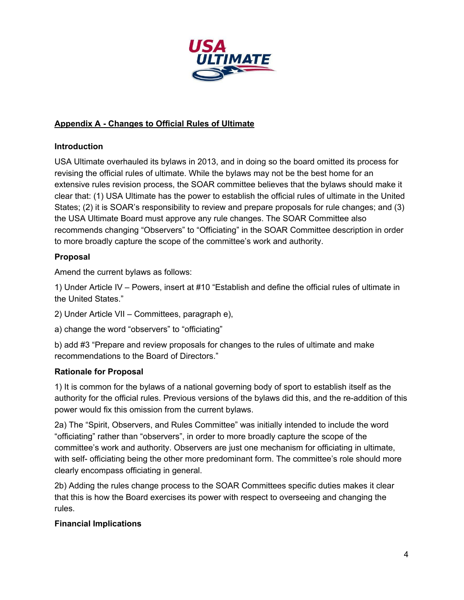

# **Appendix A - Changes to Official Rules of Ultimate**

# **Introduction**

USA Ultimate overhauled its bylaws in 2013, and in doing so the board omitted its process for revising the official rules of ultimate. While the bylaws may not be the best home for an extensive rules revision process, the SOAR committee believes that the bylaws should make it clear that: (1) USA Ultimate has the power to establish the official rules of ultimate in the United States; (2) it is SOAR's responsibility to review and prepare proposals for rule changes; and (3) the USA Ultimate Board must approve any rule changes. The SOAR Committee also recommends changing "Observers" to "Officiating" in the SOAR Committee description in order to more broadly capture the scope of the committee's work and authority.

# **Proposal**

Amend the current bylaws as follows:

1) Under Article IV – Powers, insert at #10 "Establish and define the official rules of ultimate in the United States."

2) Under Article VII – Committees, paragraph e),

a) change the word "observers" to "officiating"

b) add #3 "Prepare and review proposals for changes to the rules of ultimate and make recommendations to the Board of Directors."

# **Rationale for Proposal**

1) It is common for the bylaws of a national governing body of sport to establish itself as the authority for the official rules. Previous versions of the bylaws did this, and the re-addition of this power would fix this omission from the current bylaws.

2a) The "Spirit, Observers, and Rules Committee" was initially intended to include the word "officiating" rather than "observers", in order to more broadly capture the scope of the committee's work and authority. Observers are just one mechanism for officiating in ultimate, with self- officiating being the other more predominant form. The committee's role should more clearly encompass officiating in general.

2b) Adding the rules change process to the SOAR Committees specific duties makes it clear that this is how the Board exercises its power with respect to overseeing and changing the rules.

# **Financial Implications**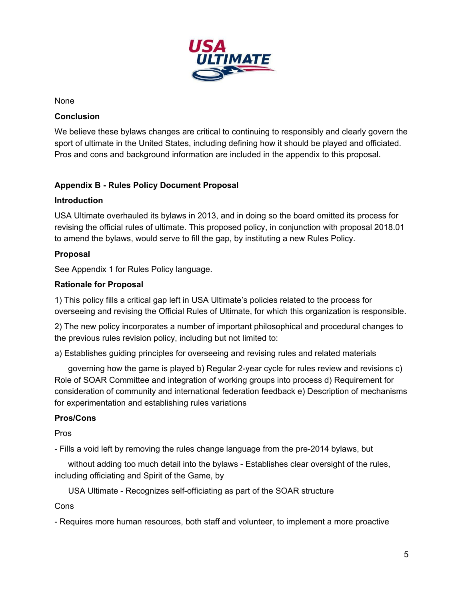

None

#### **Conclusion**

We believe these bylaws changes are critical to continuing to responsibly and clearly govern the sport of ultimate in the United States, including defining how it should be played and officiated. Pros and cons and background information are included in the appendix to this proposal.

# **Appendix B - Rules Policy Document Proposal**

#### **Introduction**

USA Ultimate overhauled its bylaws in 2013, and in doing so the board omitted its process for revising the official rules of ultimate. This proposed policy, in conjunction with proposal 2018.01 to amend the bylaws, would serve to fill the gap, by instituting a new Rules Policy.

# **Proposal**

See Appendix 1 for Rules Policy language.

#### **Rationale for Proposal**

1) This policy fills a critical gap left in USA Ultimate's policies related to the process for overseeing and revising the Official Rules of Ultimate, for which this organization is responsible.

2) The new policy incorporates a number of important philosophical and procedural changes to the previous rules revision policy, including but not limited to:

a) Establishes guiding principles for overseeing and revising rules and related materials

governing how the game is played b) Regular 2-year cycle for rules review and revisions c) Role of SOAR Committee and integration of working groups into process d) Requirement for consideration of community and international federation feedback e) Description of mechanisms for experimentation and establishing rules variations

# **Pros/Cons**

Pros

- Fills a void left by removing the rules change language from the pre-2014 bylaws, but

without adding too much detail into the bylaws - Establishes clear oversight of the rules, including officiating and Spirit of the Game, by

USA Ultimate - Recognizes self-officiating as part of the SOAR structure

Cons

- Requires more human resources, both staff and volunteer, to implement a more proactive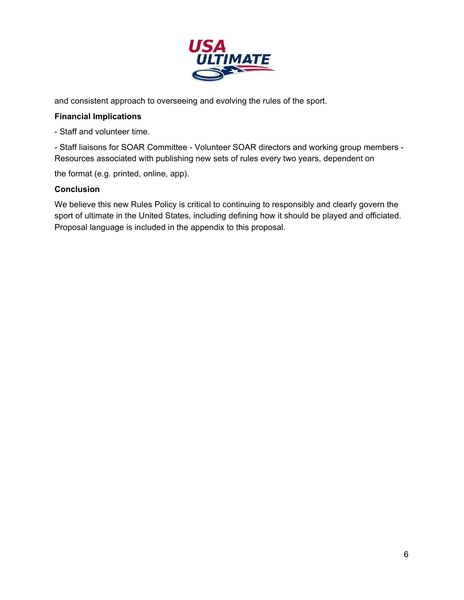

and consistent approach to overseeing and evolving the rules of the sport.

#### **Financial Implications**

- Staff and volunteer time.

- Staff liaisons for SOAR Committee - Volunteer SOAR directors and working group members - Resources associated with publishing new sets of rules every two years, dependent on

the format (e.g. printed, online, app).

#### **Conclusion**

We believe this new Rules Policy is critical to continuing to responsibly and clearly govern the sport of ultimate in the United States, including defining how it should be played and officiated. Proposal language is included in the appendix to this proposal.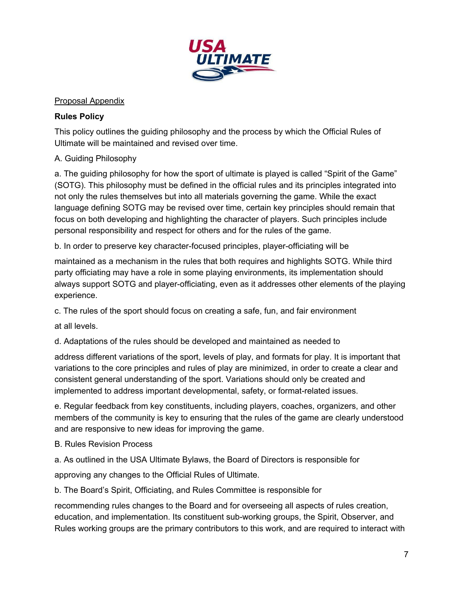

## Proposal Appendix

## **Rules Policy**

This policy outlines the guiding philosophy and the process by which the Official Rules of Ultimate will be maintained and revised over time.

# A. Guiding Philosophy

a. The guiding philosophy for how the sport of ultimate is played is called "Spirit of the Game" (SOTG). This philosophy must be defined in the official rules and its principles integrated into not only the rules themselves but into all materials governing the game. While the exact language defining SOTG may be revised over time, certain key principles should remain that focus on both developing and highlighting the character of players. Such principles include personal responsibility and respect for others and for the rules of the game.

b. In order to preserve key character-focused principles, player-officiating will be

maintained as a mechanism in the rules that both requires and highlights SOTG. While third party officiating may have a role in some playing environments, its implementation should always support SOTG and player-officiating, even as it addresses other elements of the playing experience.

c. The rules of the sport should focus on creating a safe, fun, and fair environment

at all levels.

d. Adaptations of the rules should be developed and maintained as needed to

address different variations of the sport, levels of play, and formats for play. It is important that variations to the core principles and rules of play are minimized, in order to create a clear and consistent general understanding of the sport. Variations should only be created and implemented to address important developmental, safety, or format-related issues.

e. Regular feedback from key constituents, including players, coaches, organizers, and other members of the community is key to ensuring that the rules of the game are clearly understood and are responsive to new ideas for improving the game.

- B. Rules Revision Process
- a. As outlined in the USA Ultimate Bylaws, the Board of Directors is responsible for

approving any changes to the Official Rules of Ultimate.

b. The Board's Spirit, Officiating, and Rules Committee is responsible for

recommending rules changes to the Board and for overseeing all aspects of rules creation, education, and implementation. Its constituent sub-working groups, the Spirit, Observer, and Rules working groups are the primary contributors to this work, and are required to interact with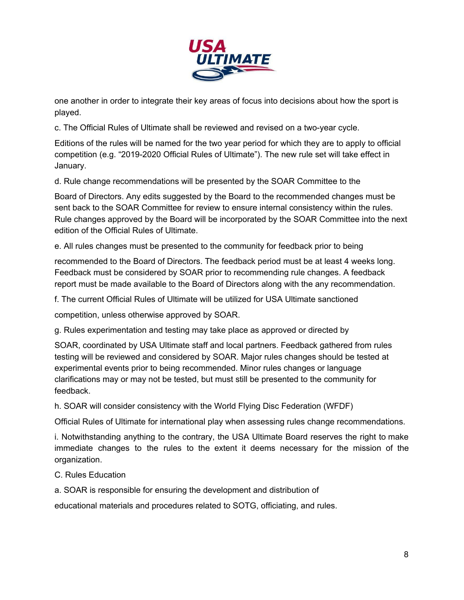

one another in order to integrate their key areas of focus into decisions about how the sport is played.

c. The Official Rules of Ultimate shall be reviewed and revised on a two-year cycle.

Editions of the rules will be named for the two year period for which they are to apply to official competition (e.g. "2019-2020 Official Rules of Ultimate"). The new rule set will take effect in January.

d. Rule change recommendations will be presented by the SOAR Committee to the

Board of Directors. Any edits suggested by the Board to the recommended changes must be sent back to the SOAR Committee for review to ensure internal consistency within the rules. Rule changes approved by the Board will be incorporated by the SOAR Committee into the next edition of the Official Rules of Ultimate.

e. All rules changes must be presented to the community for feedback prior to being

recommended to the Board of Directors. The feedback period must be at least 4 weeks long. Feedback must be considered by SOAR prior to recommending rule changes. A feedback report must be made available to the Board of Directors along with the any recommendation.

f. The current Official Rules of Ultimate will be utilized for USA Ultimate sanctioned

competition, unless otherwise approved by SOAR.

g. Rules experimentation and testing may take place as approved or directed by

SOAR, coordinated by USA Ultimate staff and local partners. Feedback gathered from rules testing will be reviewed and considered by SOAR. Major rules changes should be tested at experimental events prior to being recommended. Minor rules changes or language clarifications may or may not be tested, but must still be presented to the community for feedback.

h. SOAR will consider consistency with the World Flying Disc Federation (WFDF)

Official Rules of Ultimate for international play when assessing rules change recommendations.

i. Notwithstanding anything to the contrary, the USA Ultimate Board reserves the right to make immediate changes to the rules to the extent it deems necessary for the mission of the organization.

C. Rules Education

a. SOAR is responsible for ensuring the development and distribution of

educational materials and procedures related to SOTG, officiating, and rules.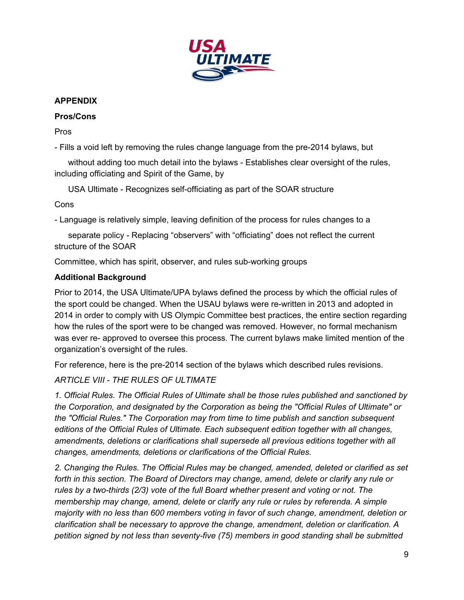

# **APPENDIX**

## **Pros/Cons**

Pros

- Fills a void left by removing the rules change language from the pre-2014 bylaws, but

without adding too much detail into the bylaws - Establishes clear oversight of the rules, including officiating and Spirit of the Game, by

USA Ultimate - Recognizes self-officiating as part of the SOAR structure

Cons

- Language is relatively simple, leaving definition of the process for rules changes to a

separate policy - Replacing "observers" with "officiating" does not reflect the current structure of the SOAR

Committee, which has spirit, observer, and rules sub-working groups

# **Additional Background**

Prior to 2014, the USA Ultimate/UPA bylaws defined the process by which the official rules of the sport could be changed. When the USAU bylaws were re-written in 2013 and adopted in 2014 in order to comply with US Olympic Committee best practices, the entire section regarding how the rules of the sport were to be changed was removed. However, no formal mechanism was ever re- approved to oversee this process. The current bylaws make limited mention of the organization's oversight of the rules.

For reference, here is the pre-2014 section of the bylaws which described rules revisions.

*ARTICLE VIII - THE RULES OF ULTIMATE*

*1. Official Rules. The Official Rules of Ultimate shall be those rules published and sanctioned by the Corporation, and designated by the Corporation as being the "Official Rules of Ultimate" or the "Official Rules." The Corporation may from time to time publish and sanction subsequent editions of the Official Rules of Ultimate. Each subsequent edition together with all changes, amendments, deletions or clarifications shall supersede all previous editions together with all changes, amendments, deletions or clarifications of the Official Rules.*

*2. Changing the Rules. The Official Rules may be changed, amended, deleted or clarified as set forth in this section. The Board of Directors may change, amend, delete or clarify any rule or rules by a two-thirds (2/3) vote of the full Board whether present and voting or not. The membership may change, amend, delete or clarify any rule or rules by referenda. A simple majority with no less than 600 members voting in favor of such change, amendment, deletion or clarification shall be necessary to approve the change, amendment, deletion or clarification. A petition signed by not less than seventy-five (75) members in good standing shall be submitted*